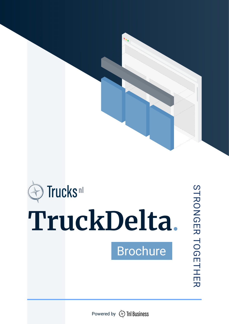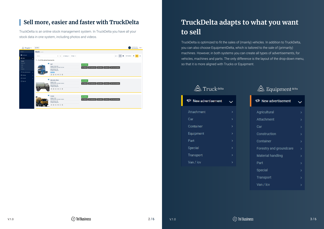

#### **Sell more, easier and faster with TruckDelta**

TruckDelta is an online stock management system. In TruckDelta you have all your stock data in one system, including photos and videos.



TruckDelta is optimized to fit the sales of (mainly) vehicles. In addition to TruckDelta, you can also choose EquipmentDelta, which is tailored to the sale of (primarily) machines. However, in both systems you can create all types of advertisements, for vehicles, machines and parts. The only difference is the layout of the drop-down menu, so that it is more aligned with Trucks or Equipment.

#### $\triangle$  Truck delta

| प <sup></sup> New advertisement |    |
|---------------------------------|----|
| <b>Attachment</b>               |    |
| Car                             |    |
| Container                       | >  |
| Equipment                       |    |
| Part                            |    |
| Special                         |    |
| Transport                       | ١, |
| Van / Icv                       |    |

## **TruckDelta adapts to what you want to sell**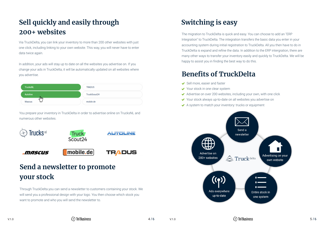# **Switching is easy**

The migration to TruckDelta is quick and easy. You can choose to add an "ERP Integration" to TruckDelta. The integration transfers the basic data you enter in your accounting system during initial registration to TruckDelta. All you then have to do in TruckDelta is expand and refine the data. In addition to the ERP intergration, there are many other ways to transfer your inventory easily and quickly to TruckDelta. We will be happy to assist you in finding the best way to do this.

Via TruckDelta, you can link your inventory to more than 200 other websites with just one click, including linking to your own website. This way, you will never have to enter data twice again.

In addition, your ads will stay up to date on all the websites you advertise on. If you change your ads in TruckDelta, it will be automatically updated on all websites where you advertise.

| <b>TrucksNL</b>                  | <b>TRADUS</b>       |
|----------------------------------|---------------------|
| <b>Autoline</b>                  | <b>TruckScout24</b> |
| $\overline{dm}$<br><b>Mascus</b> | mobile.de           |

## **Sell quickly and easily through 200+ websites**

You prepare your inventory in TruckDelta in order to advertise online on TrucksNL and numerous other websites.



Through TruckDelta you can send a newsletter to customers containing your stock. We will send you a professional design with your logo. You then choose which stock you want to promote and who you will send the newsletter to.

#### **Benefits of TruckDelta**

- Sell more, easier and faster
- ◆ Your stock in one clear system
- $\triangleleft$  Advertise on over 200 websites, including your own, with one click
- 
- 



## **Send a newsletter to promote your stock**